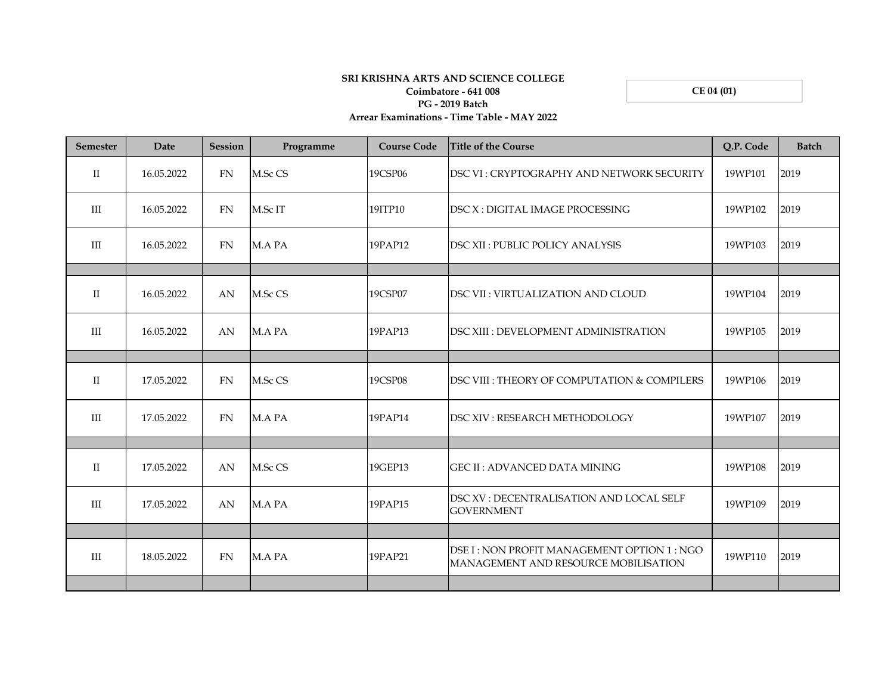## **SRI KRISHNA ARTS AND SCIENCE COLLEGE Coimbatore - 641 008 PG - 2019 Batch**

**CE 04 (01)**

## **Arrear Examinations - Time Table - MAY 2022**

| <b>Semester</b> | Date       | <b>Session</b> | Programme | <b>Course Code</b> | <b>Title of the Course</b>                                                         | Q.P. Code | <b>Batch</b> |
|-----------------|------------|----------------|-----------|--------------------|------------------------------------------------------------------------------------|-----------|--------------|
| $\mathbf{I}$    | 16.05.2022 | FN             | M.Sc CS   | 19CSP06            | DSC VI: CRYPTOGRAPHY AND NETWORK SECURITY                                          | 19WP101   | 2019         |
| III             | 16.05.2022 | FN             | M.Sc IT   | 19ITP10            | DSC X: DIGITAL IMAGE PROCESSING                                                    | 19WP102   | 2019         |
| III             | 16.05.2022 | FN             | M.A PA    | 19PAP12            | <b>DSC XII: PUBLIC POLICY ANALYSIS</b>                                             | 19WP103   | 2019         |
|                 |            |                |           |                    |                                                                                    |           |              |
| $\rm II$        | 16.05.2022 | AN             | M.Sc CS   | 19CSP07            | DSC VII : VIRTUALIZATION AND CLOUD                                                 | 19WP104   | 2019         |
| III             | 16.05.2022 | AN             | M.A PA    | 19PAP13            | DSC XIII : DEVELOPMENT ADMINISTRATION                                              | 19WP105   | 2019         |
|                 |            |                |           |                    |                                                                                    |           |              |
| $\mathbf{I}$    | 17.05.2022 | FN             | M.Sc CS   | 19CSP08            | DSC VIII : THEORY OF COMPUTATION & COMPILERS                                       | 19WP106   | 2019         |
| III             | 17.05.2022 | FN             | M.A PA    | 19PAP14            | DSC XIV : RESEARCH METHODOLOGY                                                     | 19WP107   | 2019         |
|                 |            |                |           |                    |                                                                                    |           |              |
| $\mathbf{I}$    | 17.05.2022 | AN             | M.Sc CS   | 19GEP13            | <b>GEC II: ADVANCED DATA MINING</b>                                                | 19WP108   | 2019         |
| III             | 17.05.2022 | AN             | M.A PA    | 19PAP15            | DSC XV : DECENTRALISATION AND LOCAL SELF<br><b>GOVERNMENT</b>                      | 19WP109   | 2019         |
|                 |            |                |           |                    |                                                                                    |           |              |
| III             | 18.05.2022 | FN             | M.A PA    | 19PAP21            | DSE I: NON PROFIT MANAGEMENT OPTION 1: NGO<br>MANAGEMENT AND RESOURCE MOBILISATION | 19WP110   | 2019         |
|                 |            |                |           |                    |                                                                                    |           |              |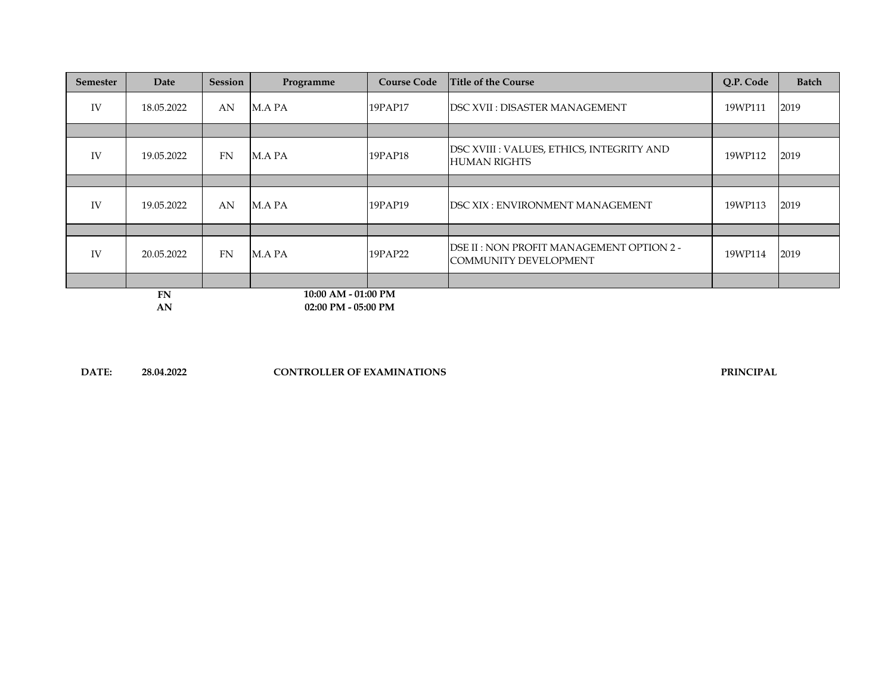| <b>Semester</b>           | Date       | Session   | Programme           | <b>Course Code</b> | <b>Title of the Course</b>                                         | Q.P. Code | <b>Batch</b> |
|---------------------------|------------|-----------|---------------------|--------------------|--------------------------------------------------------------------|-----------|--------------|
| IV                        | 18.05.2022 | AN        | M.A PA              | 19PAP17            | <b>DSC XVII: DISASTER MANAGEMENT</b>                               | 19WP111   | 2019         |
|                           |            |           |                     |                    |                                                                    |           |              |
| IV                        | 19.05.2022 | <b>FN</b> | M.A PA              | 19PAP18            | DSC XVIII : VALUES, ETHICS, INTEGRITY AND<br>HUMAN RIGHTS          | 19WP112   | 2019         |
|                           |            |           |                     |                    |                                                                    |           |              |
| <b>IV</b>                 | 19.05.2022 | AN        | M.A PA              | 19PAP19            | <b>IDSC XIX : ENVIRONMENT MANAGEMENT</b>                           | 19WP113   | 2019         |
|                           |            |           |                     |                    |                                                                    |           |              |
| IV                        | 20.05.2022 | <b>FN</b> | M.A PA              | 19PAP22            | DSE II : NON PROFIT MANAGEMENT OPTION 2 -<br>COMMUNITY DEVELOPMENT | 19WP114   | 2019         |
|                           |            |           |                     |                    |                                                                    |           |              |
|                           | <b>FN</b>  |           | 10:00 AM - 01:00 PM |                    |                                                                    |           |              |
| 02:00 PM - 05:00 PM<br>AN |            |           |                     |                    |                                                                    |           |              |

**DATE: 28.04.2022 CONTROLLER OF EXAMINATIONS PRINCIPAL**